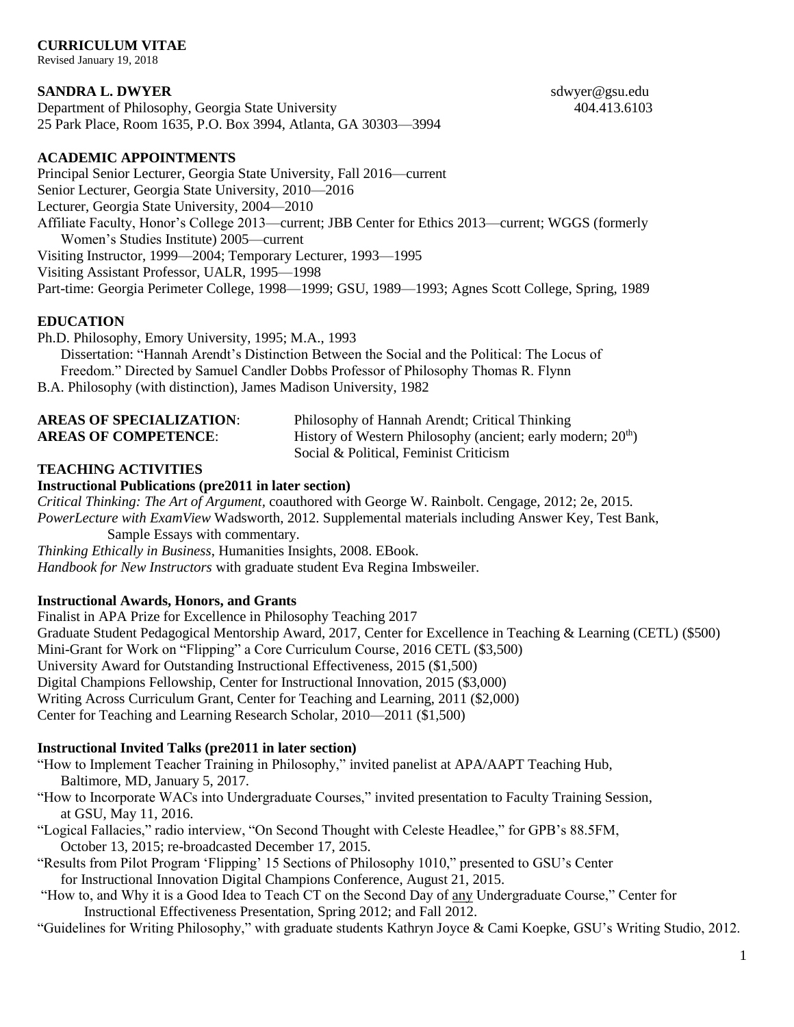## **CURRICULUM VITAE**

Revised January 19, 2018

### **SANDRA L. DWYER** sdwyer@gsu.edu

Department of Philosophy, Georgia State University 404.413.6103 25 Park Place, Room 1635, P.O. Box 3994, Atlanta, GA 30303—3994

#### **ACADEMIC APPOINTMENTS**

Principal Senior Lecturer, Georgia State University, Fall 2016—current Senior Lecturer, Georgia State University, 2010—2016 Lecturer, Georgia State University, 2004—2010 Affiliate Faculty, Honor's College 2013—current; JBB Center for Ethics 2013—current; WGGS (formerly Women's Studies Institute) 2005—current Visiting Instructor, 1999—2004; Temporary Lecturer, 1993—1995 Visiting Assistant Professor, UALR, 1995—1998 Part-time: Georgia Perimeter College, 1998—1999; GSU, 1989—1993; Agnes Scott College, Spring, 1989

## **EDUCATION**

Ph.D. Philosophy, Emory University, 1995; M.A., 1993 Dissertation: "Hannah Arendt's Distinction Between the Social and the Political: The Locus of Freedom." Directed by Samuel Candler Dobbs Professor of Philosophy Thomas R. Flynn B.A. Philosophy (with distinction), James Madison University, 1982

| <b>AREAS OF SPECIALIZATION:</b> | Philosophy of Hannah Arendt; Critical Thinking                           |
|---------------------------------|--------------------------------------------------------------------------|
| <b>AREAS OF COMPETENCE:</b>     | History of Western Philosophy (ancient; early modern; 20 <sup>th</sup> ) |
|                                 | Social & Political, Feminist Criticism                                   |

## **TEACHING ACTIVITIES**

#### **Instructional Publications (pre2011 in later section)**

*Critical Thinking: The Art of Argument,* coauthored with George W. Rainbolt. Cengage, 2012; 2e, 2015. *PowerLecture with ExamView* Wadsworth, 2012. Supplemental materials including Answer Key, Test Bank, Sample Essays with commentary.

*Thinking Ethically in Business*, Humanities Insights, 2008. EBook. *Handbook for New Instructors* with graduate student Eva Regina Imbsweiler.

## **Instructional Awards, Honors, and Grants**

Finalist in APA Prize for Excellence in Philosophy Teaching 2017 Graduate Student Pedagogical Mentorship Award, 2017, Center for Excellence in Teaching & Learning (CETL) (\$500) Mini-Grant for Work on "Flipping" a Core Curriculum Course, 2016 CETL (\$3,500) University Award for Outstanding Instructional Effectiveness, 2015 (\$1,500) Digital Champions Fellowship, Center for Instructional Innovation, 2015 (\$3,000) Writing Across Curriculum Grant, Center for Teaching and Learning, 2011 (\$2,000) Center for Teaching and Learning Research Scholar, 2010—2011 (\$1,500)

#### **Instructional Invited Talks (pre2011 in later section)**

"How to Implement Teacher Training in Philosophy," invited panelist at APA/AAPT Teaching Hub, Baltimore, MD, January 5, 2017.

"How to Incorporate WACs into Undergraduate Courses," invited presentation to Faculty Training Session, at GSU, May 11, 2016.

"Logical Fallacies," radio interview, "On Second Thought with Celeste Headlee," for GPB's 88.5FM, October 13, 2015; re-broadcasted December 17, 2015.

"Results from Pilot Program 'Flipping' 15 Sections of Philosophy 1010," presented to GSU's Center for Instructional Innovation Digital Champions Conference, August 21, 2015.

"How to, and Why it is a Good Idea to Teach CT on the Second Day of any Undergraduate Course," Center for Instructional Effectiveness Presentation, Spring 2012; and Fall 2012.

"Guidelines for Writing Philosophy," with graduate students Kathryn Joyce & Cami Koepke, GSU's Writing Studio, 2012.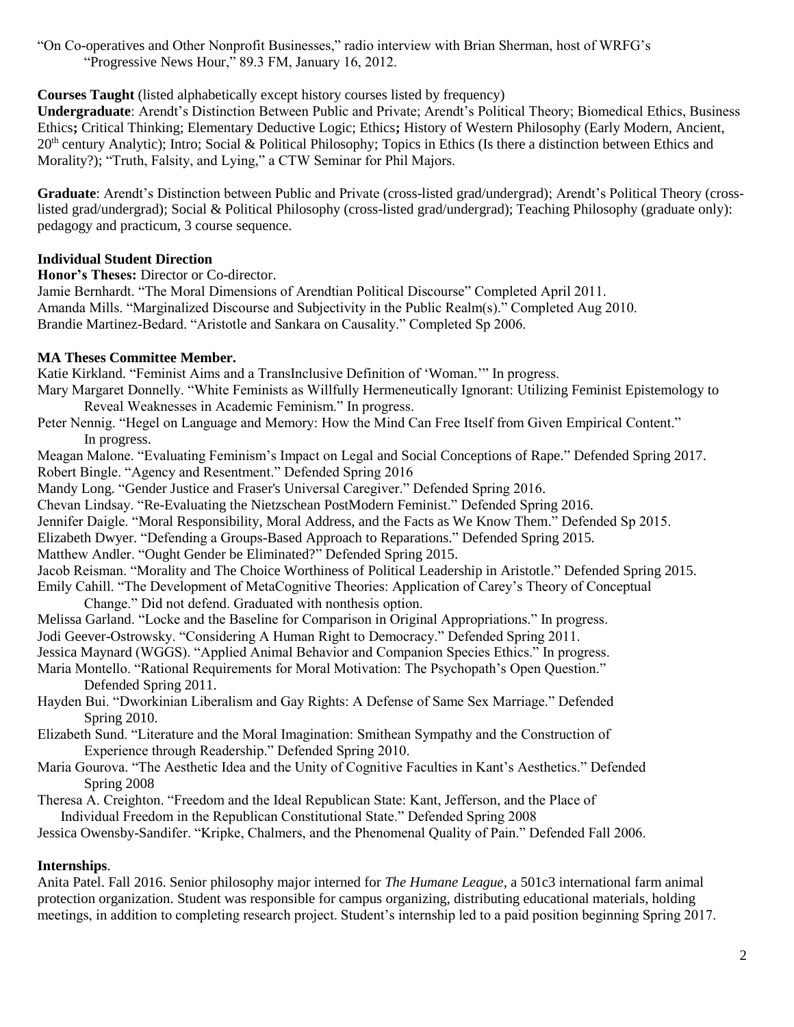"On Co-operatives and Other Nonprofit Businesses," radio interview with Brian Sherman, host of WRFG's "Progressive News Hour," 89.3 FM, January 16, 2012.

# **Courses Taught** (listed alphabetically except history courses listed by frequency)

**Undergraduate**: Arendt's Distinction Between Public and Private; Arendt's Political Theory; Biomedical Ethics, Business Ethics**;** Critical Thinking; Elementary Deductive Logic; Ethics**;** History of Western Philosophy (Early Modern, Ancient,  $20<sup>th</sup>$  century Analytic); Intro; Social & Political Philosophy; Topics in Ethics (Is there a distinction between Ethics and Morality?); "Truth, Falsity, and Lying," a CTW Seminar for Phil Majors.

**Graduate**: Arendt's Distinction between Public and Private (cross-listed grad/undergrad); Arendt's Political Theory (crosslisted grad/undergrad); Social & Political Philosophy (cross-listed grad/undergrad); Teaching Philosophy (graduate only): pedagogy and practicum, 3 course sequence.

## **Individual Student Direction**

**Honor's Theses:** Director or Co-director.

Jamie Bernhardt. "The Moral Dimensions of Arendtian Political Discourse" Completed April 2011. Amanda Mills. "Marginalized Discourse and Subjectivity in the Public Realm(s)." Completed Aug 2010. Brandie Martinez-Bedard. "Aristotle and Sankara on Causality." Completed Sp 2006.

## **MA Theses Committee Member.**

Katie Kirkland. "Feminist Aims and a TransInclusive Definition of 'Woman.'" In progress.

- Mary Margaret Donnelly. "White Feminists as Willfully Hermeneutically Ignorant: Utilizing Feminist Epistemology to Reveal Weaknesses in Academic Feminism." In progress.
- Peter Nennig. "Hegel on Language and Memory: How the Mind Can Free Itself from Given Empirical Content." In progress.

Meagan Malone. "Evaluating Feminism's Impact on Legal and Social Conceptions of Rape." Defended Spring 2017. Robert Bingle. "Agency and Resentment." Defended Spring 2016

Mandy Long. "Gender Justice and Fraser's Universal Caregiver." Defended Spring 2016.

Chevan Lindsay. "Re-Evaluating the Nietzschean PostModern Feminist." Defended Spring 2016.

Jennifer Daigle. "Moral Responsibility, Moral Address, and the Facts as We Know Them." Defended Sp 2015.

Elizabeth Dwyer. "Defending a Groups-Based Approach to Reparations." Defended Spring 2015.

Matthew Andler. "Ought Gender be Eliminated?" Defended Spring 2015.

Jacob Reisman. "Morality and The Choice Worthiness of Political Leadership in Aristotle." Defended Spring 2015.

Emily Cahill. "The Development of MetaCognitive Theories: Application of Carey's Theory of Conceptual Change." Did not defend. Graduated with nonthesis option.

Melissa Garland. "Locke and the Baseline for Comparison in Original Appropriations." In progress. Jodi Geever-Ostrowsky. "Considering A Human Right to Democracy." Defended Spring 2011.

Jessica Maynard (WGGS). "Applied Animal Behavior and Companion Species Ethics." In progress.

Maria Montello. "Rational Requirements for Moral Motivation: The Psychopath's Open Question." Defended Spring 2011.

Hayden Bui. "Dworkinian Liberalism and Gay Rights: A Defense of Same Sex Marriage." Defended Spring 2010.

- Elizabeth Sund. "Literature and the Moral Imagination: Smithean Sympathy and the Construction of Experience through Readership." Defended Spring 2010.
- Maria Gourova. "The Aesthetic Idea and the Unity of Cognitive Faculties in Kant's Aesthetics." Defended Spring 2008
- Theresa A. Creighton. "Freedom and the Ideal Republican State: Kant, Jefferson, and the Place of Individual Freedom in the Republican Constitutional State." Defended Spring 2008

Jessica Owensby-Sandifer. "Kripke, Chalmers, and the Phenomenal Quality of Pain." Defended Fall 2006.

# **Internships**.

Anita Patel. Fall 2016. Senior philosophy major interned for *The Humane League*, a 501c3 international farm animal protection organization. Student was responsible for campus organizing, distributing educational materials, holding meetings, in addition to completing research project. Student's internship led to a paid position beginning Spring 2017.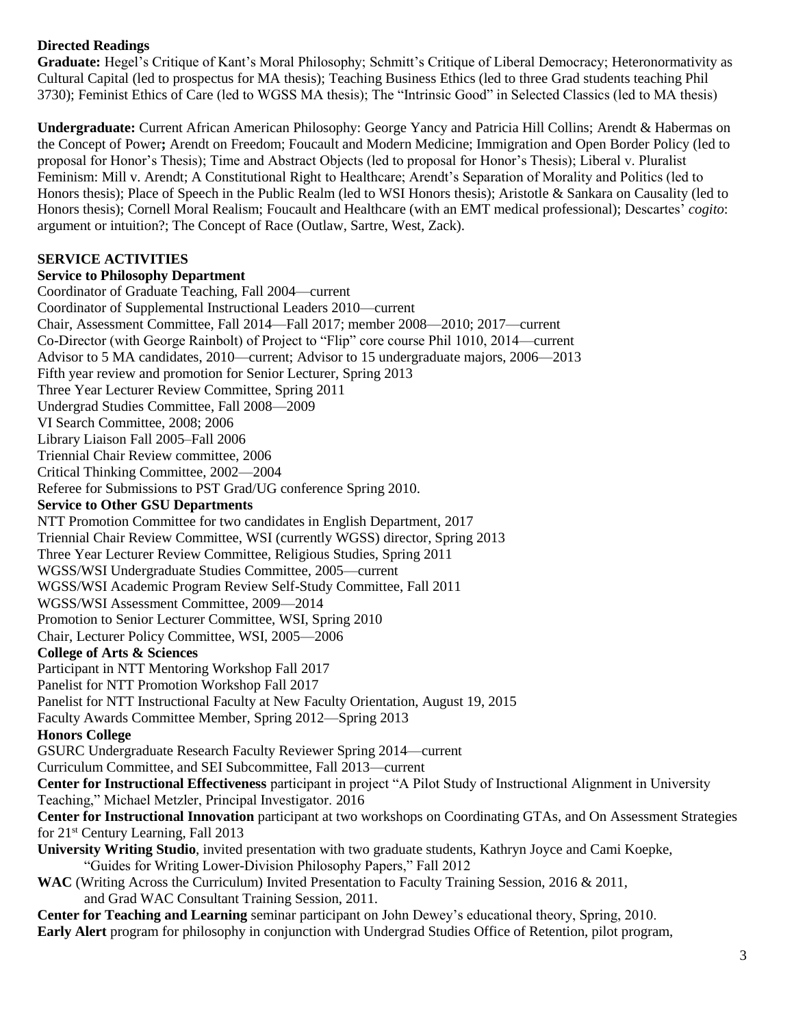# **Directed Readings**

**Graduate:** Hegel's Critique of Kant's Moral Philosophy; Schmitt's Critique of Liberal Democracy; Heteronormativity as Cultural Capital (led to prospectus for MA thesis); Teaching Business Ethics (led to three Grad students teaching Phil 3730); Feminist Ethics of Care (led to WGSS MA thesis); The "Intrinsic Good" in Selected Classics (led to MA thesis)

**Undergraduate:** Current African American Philosophy: George Yancy and Patricia Hill Collins; Arendt & Habermas on the Concept of Power**;** Arendt on Freedom; Foucault and Modern Medicine; Immigration and Open Border Policy (led to proposal for Honor's Thesis); Time and Abstract Objects (led to proposal for Honor's Thesis); Liberal v. Pluralist Feminism: Mill v. Arendt; A Constitutional Right to Healthcare; Arendt's Separation of Morality and Politics (led to Honors thesis); Place of Speech in the Public Realm (led to WSI Honors thesis); Aristotle & Sankara on Causality (led to Honors thesis); Cornell Moral Realism; Foucault and Healthcare (with an EMT medical professional); Descartes' *cogito*: argument or intuition?; The Concept of Race (Outlaw, Sartre, West, Zack).

# **SERVICE ACTIVITIES**

# **Service to Philosophy Department**

Coordinator of Graduate Teaching, Fall 2004—current Coordinator of Supplemental Instructional Leaders 2010—current Chair, Assessment Committee, Fall 2014—Fall 2017; member 2008—2010; 2017—current Co-Director (with George Rainbolt) of Project to "Flip" core course Phil 1010, 2014—current Advisor to 5 MA candidates, 2010—current; Advisor to 15 undergraduate majors, 2006—2013 Fifth year review and promotion for Senior Lecturer, Spring 2013 Three Year Lecturer Review Committee, Spring 2011 Undergrad Studies Committee, Fall 2008—2009 VI Search Committee, 2008; 2006 Library Liaison Fall 2005–Fall 2006 Triennial Chair Review committee, 2006 Critical Thinking Committee, 2002—2004 Referee for Submissions to PST Grad/UG conference Spring 2010. **Service to Other GSU Departments** NTT Promotion Committee for two candidates in English Department, 2017 Triennial Chair Review Committee, WSI (currently WGSS) director, Spring 2013 Three Year Lecturer Review Committee, Religious Studies, Spring 2011 WGSS/WSI Undergraduate Studies Committee, 2005—current WGSS/WSI Academic Program Review Self-Study Committee, Fall 2011 WGSS/WSI Assessment Committee, 2009—2014 Promotion to Senior Lecturer Committee, WSI, Spring 2010 Chair, Lecturer Policy Committee, WSI, 2005—2006 **College of Arts & Sciences** Participant in NTT Mentoring Workshop Fall 2017 Panelist for NTT Promotion Workshop Fall 2017 Panelist for NTT Instructional Faculty at New Faculty Orientation, August 19, 2015 Faculty Awards Committee Member, Spring 2012—Spring 2013 **Honors College** GSURC Undergraduate Research Faculty Reviewer Spring 2014—current Curriculum Committee, and SEI Subcommittee, Fall 2013—current **Center for Instructional Effectiveness** participant in project "A Pilot Study of Instructional Alignment in University Teaching," Michael Metzler, Principal Investigator. 2016 **Center for Instructional Innovation** participant at two workshops on Coordinating GTAs, and On Assessment Strategies for 21st Century Learning, Fall 2013 **University Writing Studio**, invited presentation with two graduate students, Kathryn Joyce and Cami Koepke, "Guides for Writing Lower-Division Philosophy Papers," Fall 2012 **WAC** (Writing Across the Curriculum) Invited Presentation to Faculty Training Session, 2016 & 2011, and Grad WAC Consultant Training Session, 2011. **Center for Teaching and Learning** seminar participant on John Dewey's educational theory, Spring, 2010.

**Early Alert** program for philosophy in conjunction with Undergrad Studies Office of Retention, pilot program,